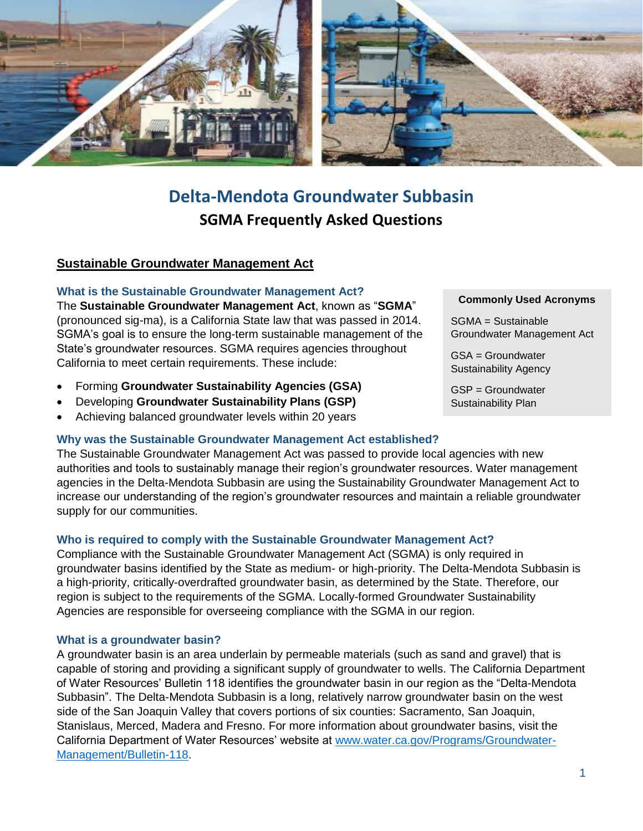

# **Delta-Mendota Groundwater Subbasin SGMA Frequently Asked Questions**

# **Sustainable Groundwater Management Act**

## **What is the Sustainable Groundwater Management Act?**

The **Sustainable Groundwater Management Act**, known as "**SGMA**" (pronounced sig-ma), is a California State law that was passed in 2014. SGMA's goal is to ensure the long-term sustainable management of the State's groundwater resources. SGMA requires agencies throughout California to meet certain requirements. These include:

- Forming **Groundwater Sustainability Agencies (GSA)**
- Developing **Groundwater Sustainability Plans (GSP)**
- Achieving balanced groundwater levels within 20 years

## **Why was the Sustainable Groundwater Management Act established?**

The Sustainable Groundwater Management Act was passed to provide local agencies with new authorities and tools to sustainably manage their region's groundwater resources. Water management agencies in the Delta-Mendota Subbasin are using the Sustainability Groundwater Management Act to increase our understanding of the region's groundwater resources and maintain a reliable groundwater supply for our communities.

## **Who is required to comply with the Sustainable Groundwater Management Act?**

Compliance with the Sustainable Groundwater Management Act (SGMA) is only required in groundwater basins identified by the State as medium- or high-priority. The Delta-Mendota Subbasin is a high-priority, critically-overdrafted groundwater basin, as determined by the State. Therefore, our region is subject to the requirements of the SGMA. Locally-formed Groundwater Sustainability Agencies are responsible for overseeing compliance with the SGMA in our region.

## **What is a groundwater basin?**

A groundwater basin is an area underlain by permeable materials (such as sand and gravel) that is capable of storing and providing a significant supply of groundwater to wells. The California Department of Water Resources' Bulletin 118 identifies the groundwater basin in our region as the "Delta-Mendota Subbasin". The Delta-Mendota Subbasin is a long, relatively narrow groundwater basin on the west side of the San Joaquin Valley that covers portions of six counties: Sacramento, San Joaquin, Stanislaus, Merced, Madera and Fresno. For more information about groundwater basins, visit the California Department of Water Resources' website at [www.water.ca.gov/Programs/Groundwater-](http://www.water.ca.gov/Programs/Groundwater-Management/Bulletin-118)[Management/Bulletin-118.](http://www.water.ca.gov/Programs/Groundwater-Management/Bulletin-118)

**Commonly Used Acronyms**

SGMA = Sustainable Groundwater Management Act

GSA = Groundwater Sustainability Agency

GSP = Groundwater Sustainability Plan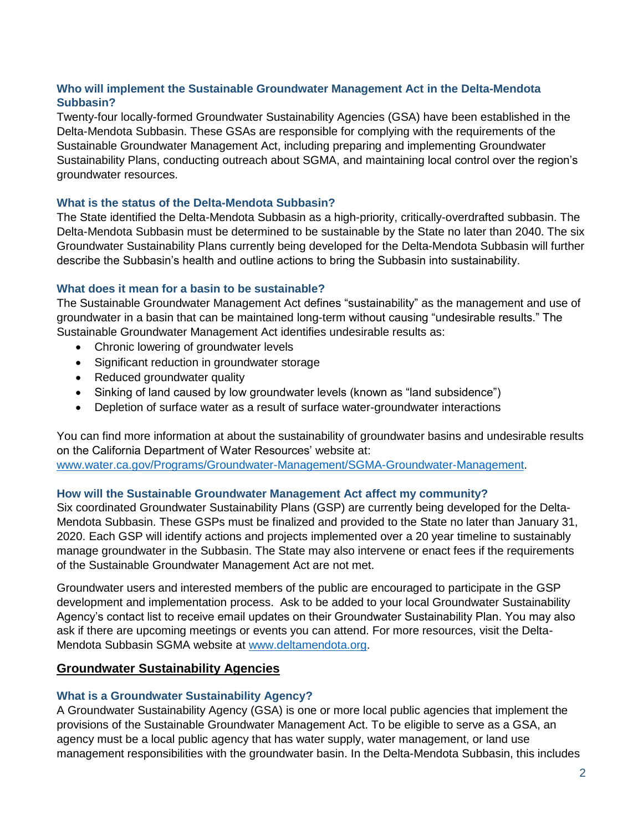# **Who will implement the Sustainable Groundwater Management Act in the Delta-Mendota Subbasin?**

Twenty-four locally-formed Groundwater Sustainability Agencies (GSA) have been established in the Delta-Mendota Subbasin. These GSAs are responsible for complying with the requirements of the Sustainable Groundwater Management Act, including preparing and implementing Groundwater Sustainability Plans, conducting outreach about SGMA, and maintaining local control over the region's groundwater resources.

# **What is the status of the Delta-Mendota Subbasin?**

The State identified the Delta-Mendota Subbasin as a high-priority, critically-overdrafted subbasin. The Delta-Mendota Subbasin must be determined to be sustainable by the State no later than 2040. The six Groundwater Sustainability Plans currently being developed for the Delta-Mendota Subbasin will further describe the Subbasin's health and outline actions to bring the Subbasin into sustainability.

# **What does it mean for a basin to be sustainable?**

The Sustainable Groundwater Management Act defines "sustainability" as the management and use of groundwater in a basin that can be maintained long-term without causing "undesirable results." The Sustainable Groundwater Management Act identifies undesirable results as:

- Chronic lowering of groundwater levels
- Significant reduction in groundwater storage
- Reduced groundwater quality
- Sinking of land caused by low groundwater levels (known as "land subsidence")
- Depletion of surface water as a result of surface water-groundwater interactions

You can find more information at about the sustainability of groundwater basins and undesirable results on the California Department of Water Resources' website at: [www.water.ca.gov/Programs/Groundwater-Management/SGMA-Groundwater-Management.](https://www.water.ca.gov/Programs/Groundwater-Management/SGMA-Groundwater-Management)

## **How will the Sustainable Groundwater Management Act affect my community?**

Six coordinated Groundwater Sustainability Plans (GSP) are currently being developed for the Delta-Mendota Subbasin. These GSPs must be finalized and provided to the State no later than January 31, 2020. Each GSP will identify actions and projects implemented over a 20 year timeline to sustainably manage groundwater in the Subbasin. The State may also intervene or enact fees if the requirements of the Sustainable Groundwater Management Act are not met.

Groundwater users and interested members of the public are encouraged to participate in the GSP development and implementation process. Ask to be added to your local Groundwater Sustainability Agency's contact list to receive email updates on their Groundwater Sustainability Plan. You may also ask if there are upcoming meetings or events you can attend. For more resources, visit the Delta-Mendota Subbasin SGMA website at [www.deltamendota.org.](file://///woodardcurran.net/shared/Projects/RMC/WCR/0617%20SLDMWA/0011081%20GSP%20Development/B.%20Project%20Work/DM%20Coordinated%20Tasks/Task%205%20-%20Intrabasin%20Coordination/DM%20Coord%20Committee%20-%20Communications/30Apr18%20Mtg/www.deltamendota.org)

# **Groundwater Sustainability Agencies**

# **What is a Groundwater Sustainability Agency?**

A Groundwater Sustainability Agency (GSA) is one or more local public agencies that implement the provisions of the Sustainable Groundwater Management Act. To be eligible to serve as a GSA, an agency must be a local public agency that has water supply, water management, or land use management responsibilities with the groundwater basin. In the Delta-Mendota Subbasin, this includes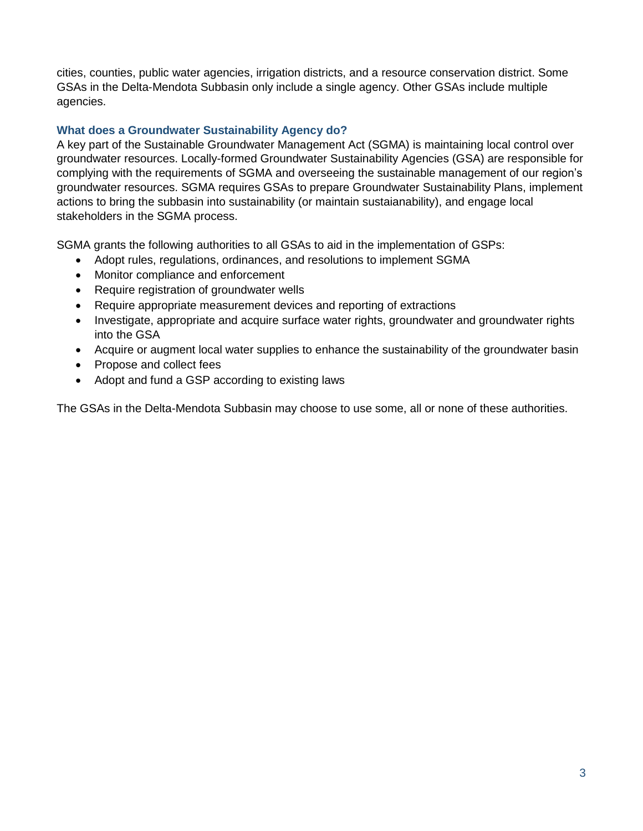cities, counties, public water agencies, irrigation districts, and a resource conservation district. Some GSAs in the Delta-Mendota Subbasin only include a single agency. Other GSAs include multiple agencies.

# **What does a Groundwater Sustainability Agency do?**

A key part of the Sustainable Groundwater Management Act (SGMA) is maintaining local control over groundwater resources. Locally-formed Groundwater Sustainability Agencies (GSA) are responsible for complying with the requirements of SGMA and overseeing the sustainable management of our region's groundwater resources. SGMA requires GSAs to prepare Groundwater Sustainability Plans, implement actions to bring the subbasin into sustainability (or maintain sustaianability), and engage local stakeholders in the SGMA process.

SGMA grants the following authorities to all GSAs to aid in the implementation of GSPs:

- Adopt rules, regulations, ordinances, and resolutions to implement SGMA
- Monitor compliance and enforcement
- Require registration of groundwater wells
- Require appropriate measurement devices and reporting of extractions
- Investigate, appropriate and acquire surface water rights, groundwater and groundwater rights into the GSA
- Acquire or augment local water supplies to enhance the sustainability of the groundwater basin
- Propose and collect fees
- Adopt and fund a GSP according to existing laws

The GSAs in the Delta-Mendota Subbasin may choose to use some, all or none of these authorities.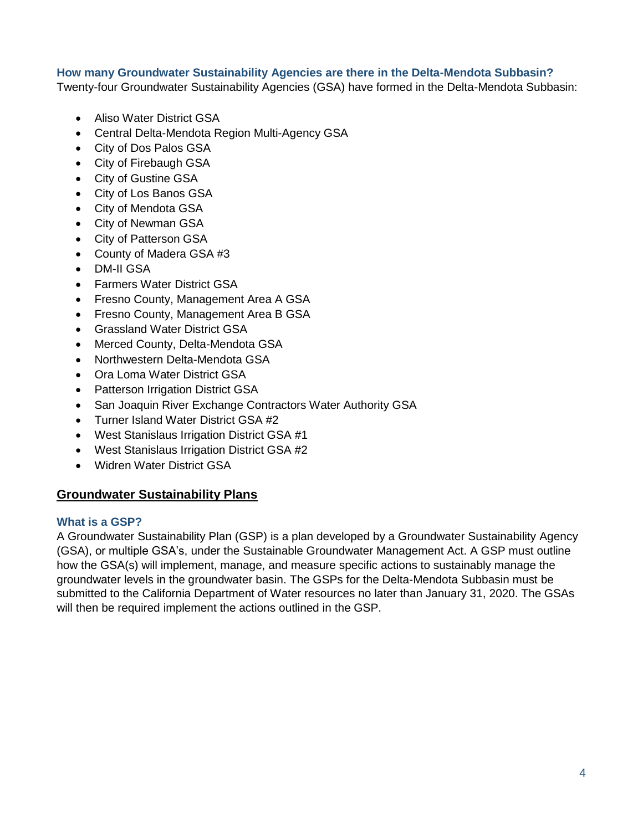# **How many Groundwater Sustainability Agencies are there in the Delta-Mendota Subbasin?**

Twenty-four Groundwater Sustainability Agencies (GSA) have formed in the Delta-Mendota Subbasin:

- Aliso Water District GSA
- Central Delta-Mendota Region Multi-Agency GSA
- City of Dos Palos GSA
- City of Firebaugh GSA
- City of Gustine GSA
- City of Los Banos GSA
- City of Mendota GSA
- City of Newman GSA
- City of Patterson GSA
- County of Madera GSA #3
- DM-II GSA
- Farmers Water District GSA
- Fresno County, Management Area A GSA
- Fresno County, Management Area B GSA
- Grassland Water District GSA
- Merced County, Delta-Mendota GSA
- Northwestern Delta-Mendota GSA
- Ora Loma Water District GSA
- Patterson Irrigation District GSA
- San Joaquin River Exchange Contractors Water Authority GSA
- Turner Island Water District GSA #2
- West Stanislaus Irrigation District GSA #1
- West Stanislaus Irrigation District GSA #2
- Widren Water District GSA

# **Groundwater Sustainability Plans**

## **What is a GSP?**

A Groundwater Sustainability Plan (GSP) is a plan developed by a Groundwater Sustainability Agency (GSA), or multiple GSA's, under the Sustainable Groundwater Management Act. A GSP must outline how the GSA(s) will implement, manage, and measure specific actions to sustainably manage the groundwater levels in the groundwater basin. The GSPs for the Delta-Mendota Subbasin must be submitted to the California Department of Water resources no later than January 31, 2020. The GSAs will then be required implement the actions outlined in the GSP.